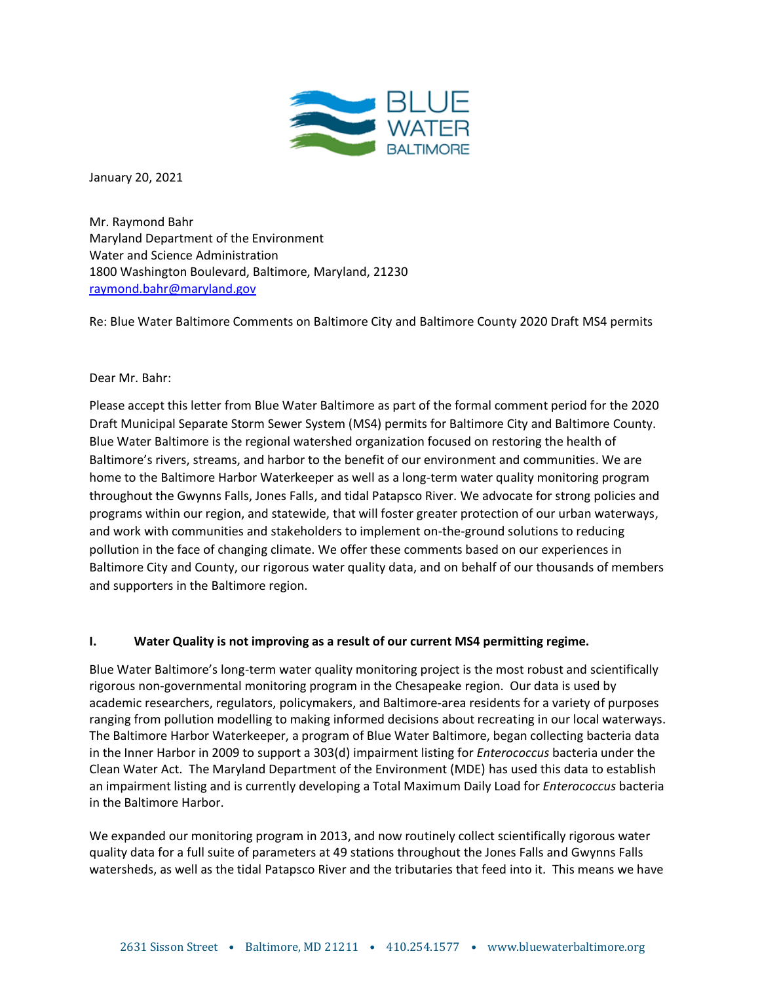

January 20, 2021

Mr. Raymond Bahr Maryland Department of the Environment Water and Science Administration 1800 Washington Boulevard, Baltimore, Maryland, 21230 raymond.bahr@maryland.gov

Re: Blue Water Baltimore Comments on Baltimore City and Baltimore County 2020 Draft MS4 permits

# Dear Mr. Bahr:

Please accept this letter from Blue Water Baltimore as part of the formal comment period for the 2020 Draft Municipal Separate Storm Sewer System (MS4) permits for Baltimore City and Baltimore County. Blue Water Baltimore is the regional watershed organization focused on restoring the health of Baltimore's rivers, streams, and harbor to the benefit of our environment and communities. We are home to the Baltimore Harbor Waterkeeper as well as a long-term water quality monitoring program throughout the Gwynns Falls, Jones Falls, and tidal Patapsco River. We advocate for strong policies and programs within our region, and statewide, that will foster greater protection of our urban waterways, and work with communities and stakeholders to implement on-the-ground solutions to reducing pollution in the face of changing climate. We offer these comments based on our experiences in Baltimore City and County, our rigorous water quality data, and on behalf of our thousands of members and supporters in the Baltimore region.

# **I. Water Quality is not improving as a result of our current MS4 permitting regime.**

Blue Water Baltimore's long-term water quality monitoring project is the most robust and scientifically rigorous non-governmental monitoring program in the Chesapeake region. Our data is used by academic researchers, regulators, policymakers, and Baltimore-area residents for a variety of purposes ranging from pollution modelling to making informed decisions about recreating in our local waterways. The Baltimore Harbor Waterkeeper, a program of Blue Water Baltimore, began collecting bacteria data in the Inner Harbor in 2009 to support a 303(d) impairment listing for *Enterococcus* bacteria under the Clean Water Act. The Maryland Department of the Environment (MDE) has used this data to establish an impairment listing and is currently developing a Total Maximum Daily Load for *Enterococcus* bacteria in the Baltimore Harbor.

We expanded our monitoring program in 2013, and now routinely collect scientifically rigorous water quality data for a full suite of parameters at 49 stations throughout the Jones Falls and Gwynns Falls watersheds, as well as the tidal Patapsco River and the tributaries that feed into it. This means we have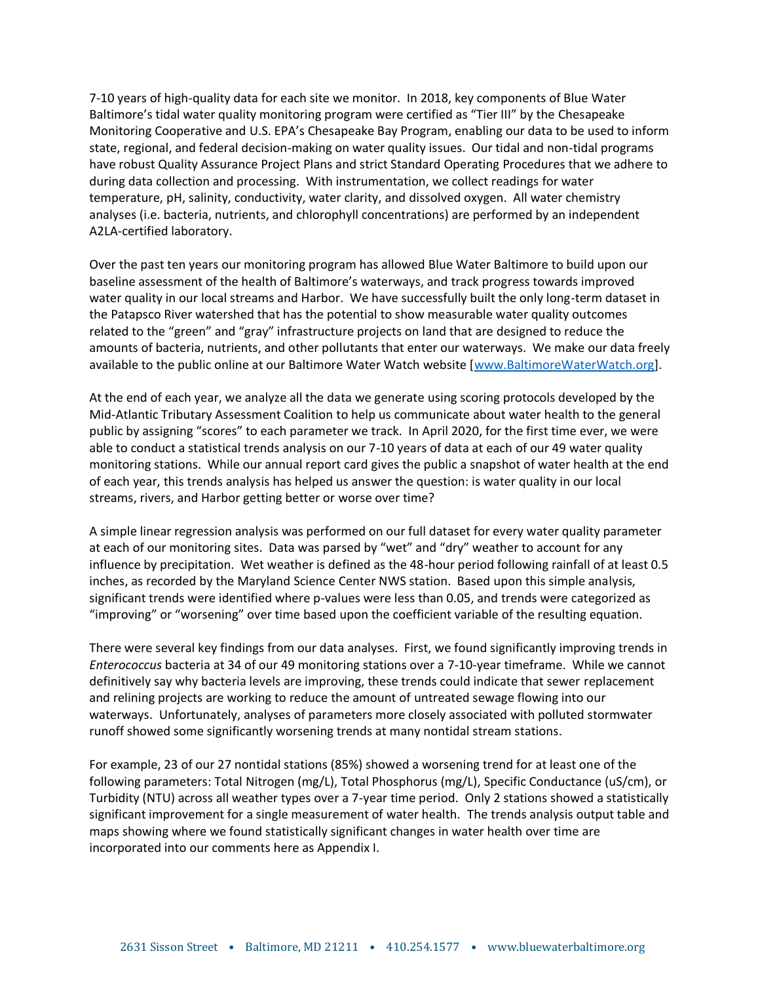7-10 years of high-quality data for each site we monitor. In 2018, key components of Blue Water Baltimore's tidal water quality monitoring program were certified as "Tier III" by the Chesapeake Monitoring Cooperative and U.S. EPA's Chesapeake Bay Program, enabling our data to be used to inform state, regional, and federal decision-making on water quality issues. Our tidal and non-tidal programs have robust Quality Assurance Project Plans and strict Standard Operating Procedures that we adhere to during data collection and processing. With instrumentation, we collect readings for water temperature, pH, salinity, conductivity, water clarity, and dissolved oxygen. All water chemistry analyses (i.e. bacteria, nutrients, and chlorophyll concentrations) are performed by an independent A2LA-certified laboratory.

Over the past ten years our monitoring program has allowed Blue Water Baltimore to build upon our baseline assessment of the health of Baltimore's waterways, and track progress towards improved water quality in our local streams and Harbor. We have successfully built the only long-term dataset in the Patapsco River watershed that has the potential to show measurable water quality outcomes related to the "green" and "gray" infrastructure projects on land that are designed to reduce the amounts of bacteria, nutrients, and other pollutants that enter our waterways. We make our data freely available to the public online at our Baltimore Water Watch website [www.BaltimoreWaterWatch.org].

At the end of each year, we analyze all the data we generate using scoring protocols developed by the Mid-Atlantic Tributary Assessment Coalition to help us communicate about water health to the general public by assigning "scores" to each parameter we track. In April 2020, for the first time ever, we were able to conduct a statistical trends analysis on our 7-10 years of data at each of our 49 water quality monitoring stations. While our annual report card gives the public a snapshot of water health at the end of each year, this trends analysis has helped us answer the question: is water quality in our local streams, rivers, and Harbor getting better or worse over time?

A simple linear regression analysis was performed on our full dataset for every water quality parameter at each of our monitoring sites. Data was parsed by "wet" and "dry" weather to account for any influence by precipitation. Wet weather is defined as the 48-hour period following rainfall of at least 0.5 inches, as recorded by the Maryland Science Center NWS station. Based upon this simple analysis, significant trends were identified where p-values were less than 0.05, and trends were categorized as "improving" or "worsening" over time based upon the coefficient variable of the resulting equation.

There were several key findings from our data analyses. First, we found significantly improving trends in *Enterococcus* bacteria at 34 of our 49 monitoring stations over a 7-10-year timeframe. While we cannot definitively say why bacteria levels are improving, these trends could indicate that sewer replacement and relining projects are working to reduce the amount of untreated sewage flowing into our waterways. Unfortunately, analyses of parameters more closely associated with polluted stormwater runoff showed some significantly worsening trends at many nontidal stream stations.

For example, 23 of our 27 nontidal stations (85%) showed a worsening trend for at least one of the following parameters: Total Nitrogen (mg/L), Total Phosphorus (mg/L), Specific Conductance (uS/cm), or Turbidity (NTU) across all weather types over a 7-year time period. Only 2 stations showed a statistically significant improvement for a single measurement of water health. The trends analysis output table and maps showing where we found statistically significant changes in water health over time are incorporated into our comments here as Appendix I.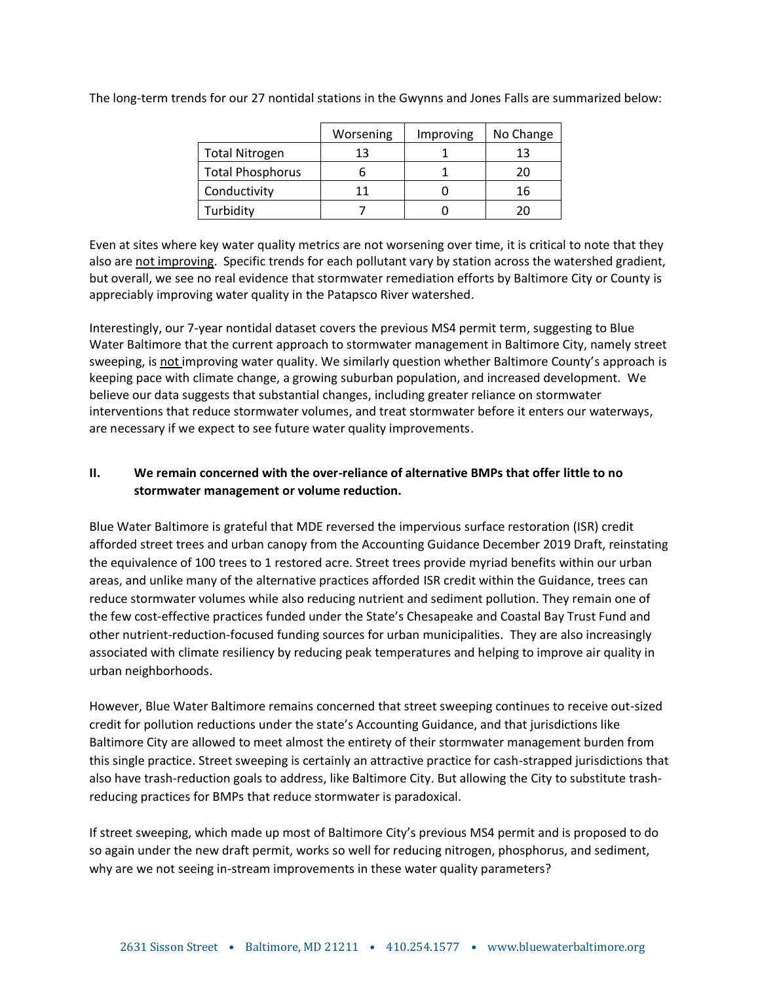|                         | Worsening | Improving | No Change |
|-------------------------|-----------|-----------|-----------|
| <b>Total Nitrogen</b>   | 13        |           | 13        |
| <b>Total Phosphorus</b> |           |           | 20        |
| Conductivity            | 11        |           | 16        |
| Turbidity               |           |           |           |

The long-term trends for our 27 nontidal stations in the Gwynns and Jones Falls are summarized below:

Even at sites where key water quality metrics are not worsening over time, it is critical to note that they also are not improving. Specific trends for each pollutant vary by station across the watershed gradient, but overall, we see no real evidence that stormwater remediation efforts by Baltimore City or County is appreciably improving water quality in the Patapsco River watershed.

Interestingly, our 7-year nontidal dataset covers the previous MS4 permit term, suggesting to Blue Water Baltimore that the current approach to stormwater management in Baltimore City, namely street sweeping, is not improving water quality. We similarly question whether Baltimore County's approach is keeping pace with climate change, a growing suburban population, and increased development. We believe our data suggests that substantial changes, including greater reliance on stormwater interventions that reduce stormwater volumes, and treat stormwater before it enters our waterways, are necessary if we expect to see future water quality improvements.

# **II. We remain concerned with the over-reliance of alternative BMPs that offer little to no stormwater management or volume reduction.**

Blue Water Baltimore is grateful that MDE reversed the impervious surface restoration (ISR) credit afforded street trees and urban canopy from the Accounting Guidance December 2019 Draft, reinstating the equivalence of 100 trees to 1 restored acre. Street trees provide myriad benefits within our urban areas, and unlike many of the alternative practices afforded ISR credit within the Guidance, trees can reduce stormwater volumes while also reducing nutrient and sediment pollution. They remain one of the few cost-effective practices funded under the State's Chesapeake and Coastal Bay Trust Fund and other nutrient-reduction-focused funding sources for urban municipalities. They are also increasingly associated with climate resiliency by reducing peak temperatures and helping to improve air quality in urban neighborhoods.

However, Blue Water Baltimore remains concerned that street sweeping continues to receive out-sized credit for pollution reductions under the state's Accounting Guidance, and that jurisdictions like Baltimore City are allowed to meet almost the entirety of their stormwater management burden from this single practice. Street sweeping is certainly an attractive practice for cash-strapped jurisdictions that also have trash-reduction goals to address, like Baltimore City. But allowing the City to substitute trashreducing practices for BMPs that reduce stormwater is paradoxical.

If street sweeping, which made up most of Baltimore City's previous MS4 permit and is proposed to do so again under the new draft permit, works so well for reducing nitrogen, phosphorus, and sediment, why are we not seeing in-stream improvements in these water quality parameters?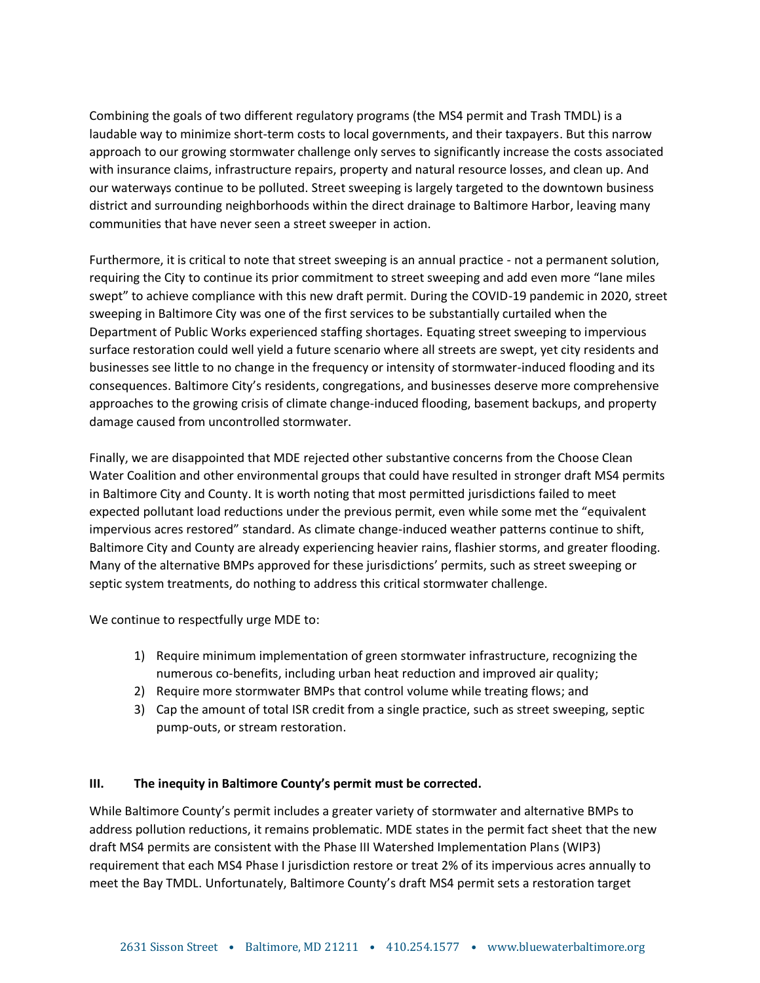Combining the goals of two different regulatory programs (the MS4 permit and Trash TMDL) is a laudable way to minimize short-term costs to local governments, and their taxpayers. But this narrow approach to our growing stormwater challenge only serves to significantly increase the costs associated with insurance claims, infrastructure repairs, property and natural resource losses, and clean up. And our waterways continue to be polluted. Street sweeping is largely targeted to the downtown business district and surrounding neighborhoods within the direct drainage to Baltimore Harbor, leaving many communities that have never seen a street sweeper in action.

Furthermore, it is critical to note that street sweeping is an annual practice - not a permanent solution, requiring the City to continue its prior commitment to street sweeping and add even more "lane miles swept" to achieve compliance with this new draft permit. During the COVID-19 pandemic in 2020, street sweeping in Baltimore City was one of the first services to be substantially curtailed when the Department of Public Works experienced staffing shortages. Equating street sweeping to impervious surface restoration could well yield a future scenario where all streets are swept, yet city residents and businesses see little to no change in the frequency or intensity of stormwater-induced flooding and its consequences. Baltimore City's residents, congregations, and businesses deserve more comprehensive approaches to the growing crisis of climate change-induced flooding, basement backups, and property damage caused from uncontrolled stormwater.

Finally, we are disappointed that MDE rejected other substantive concerns from the Choose Clean Water Coalition and other environmental groups that could have resulted in stronger draft MS4 permits in Baltimore City and County. It is worth noting that most permitted jurisdictions failed to meet expected pollutant load reductions under the previous permit, even while some met the "equivalent impervious acres restored" standard. As climate change-induced weather patterns continue to shift, Baltimore City and County are already experiencing heavier rains, flashier storms, and greater flooding. Many of the alternative BMPs approved for these jurisdictions' permits, such as street sweeping or septic system treatments, do nothing to address this critical stormwater challenge.

We continue to respectfully urge MDE to:

- 1) Require minimum implementation of green stormwater infrastructure, recognizing the numerous co-benefits, including urban heat reduction and improved air quality;
- 2) Require more stormwater BMPs that control volume while treating flows; and
- 3) Cap the amount of total ISR credit from a single practice, such as street sweeping, septic pump-outs, or stream restoration.

## **III. The inequity in Baltimore County's permit must be corrected.**

While Baltimore County's permit includes a greater variety of stormwater and alternative BMPs to address pollution reductions, it remains problematic. MDE states in the permit fact sheet that the new draft MS4 permits are consistent with the Phase III Watershed Implementation Plans (WIP3) requirement that each MS4 Phase I jurisdiction restore or treat 2% of its impervious acres annually to meet the Bay TMDL. Unfortunately, Baltimore County's draft MS4 permit sets a restoration target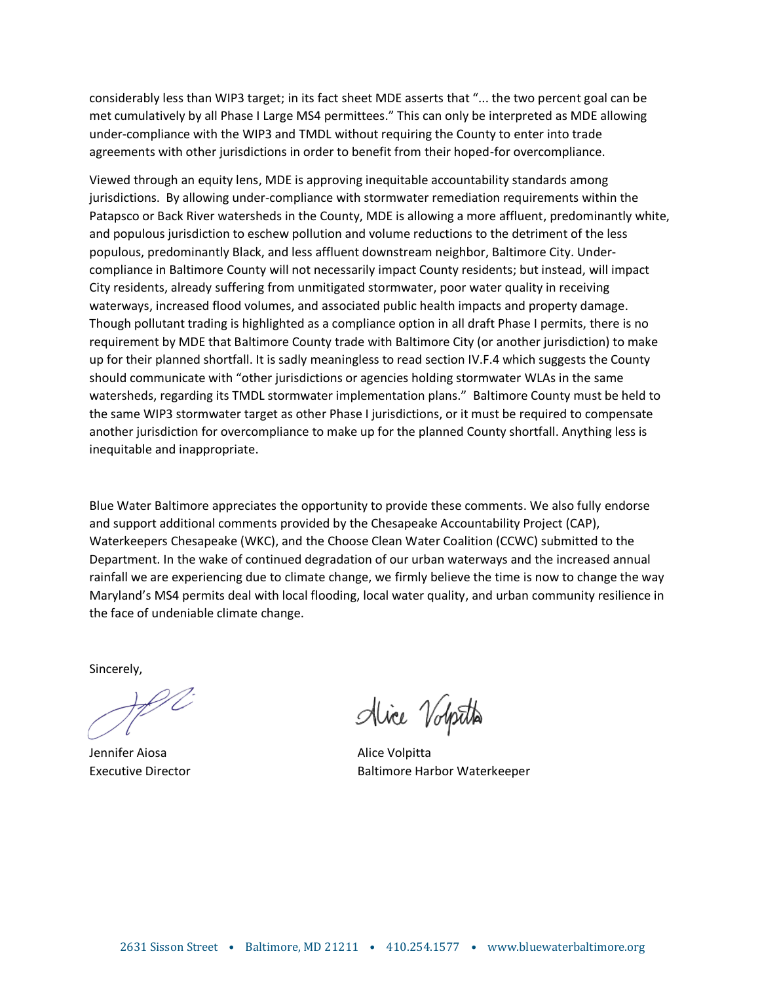considerably less than WIP3 target; in its fact sheet MDE asserts that "... the two percent goal can be met cumulatively by all Phase I Large MS4 permittees." This can only be interpreted as MDE allowing under-compliance with the WIP3 and TMDL without requiring the County to enter into trade agreements with other jurisdictions in order to benefit from their hoped-for overcompliance.

Viewed through an equity lens, MDE is approving inequitable accountability standards among jurisdictions. By allowing under-compliance with stormwater remediation requirements within the Patapsco or Back River watersheds in the County, MDE is allowing a more affluent, predominantly white, and populous jurisdiction to eschew pollution and volume reductions to the detriment of the less populous, predominantly Black, and less affluent downstream neighbor, Baltimore City. Undercompliance in Baltimore County will not necessarily impact County residents; but instead, will impact City residents, already suffering from unmitigated stormwater, poor water quality in receiving waterways, increased flood volumes, and associated public health impacts and property damage. Though pollutant trading is highlighted as a compliance option in all draft Phase I permits, there is no requirement by MDE that Baltimore County trade with Baltimore City (or another jurisdiction) to make up for their planned shortfall. It is sadly meaningless to read section IV.F.4 which suggests the County should communicate with "other jurisdictions or agencies holding stormwater WLAs in the same watersheds, regarding its TMDL stormwater implementation plans." Baltimore County must be held to the same WIP3 stormwater target as other Phase I jurisdictions, or it must be required to compensate another jurisdiction for overcompliance to make up for the planned County shortfall. Anything less is inequitable and inappropriate.

Blue Water Baltimore appreciates the opportunity to provide these comments. We also fully endorse and support additional comments provided by the Chesapeake Accountability Project (CAP), Waterkeepers Chesapeake (WKC), and the Choose Clean Water Coalition (CCWC) submitted to the Department. In the wake of continued degradation of our urban waterways and the increased annual rainfall we are experiencing due to climate change, we firmly believe the time is now to change the way Maryland's MS4 permits deal with local flooding, local water quality, and urban community resilience in the face of undeniable climate change.

Sincerely,

Jennifer Aiosa **Alice Volpitta** 

Alice Volpita

Executive Director Baltimore Harbor Waterkeeper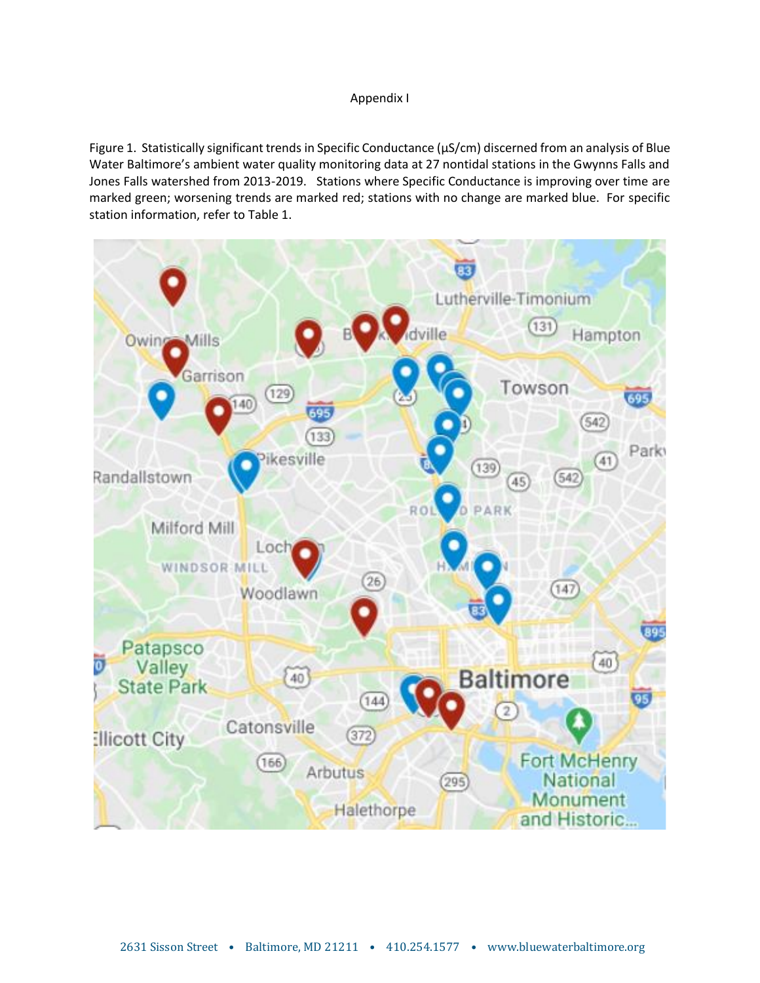## Appendix I

Figure 1. Statistically significant trends in Specific Conductance (µS/cm) discerned from an analysis of Blue Water Baltimore's ambient water quality monitoring data at 27 nontidal stations in the Gwynns Falls and Jones Falls watershed from 2013-2019. Stations where Specific Conductance is improving over time are marked green; worsening trends are marked red; stations with no change are marked blue. For specific station information, refer to Table 1.

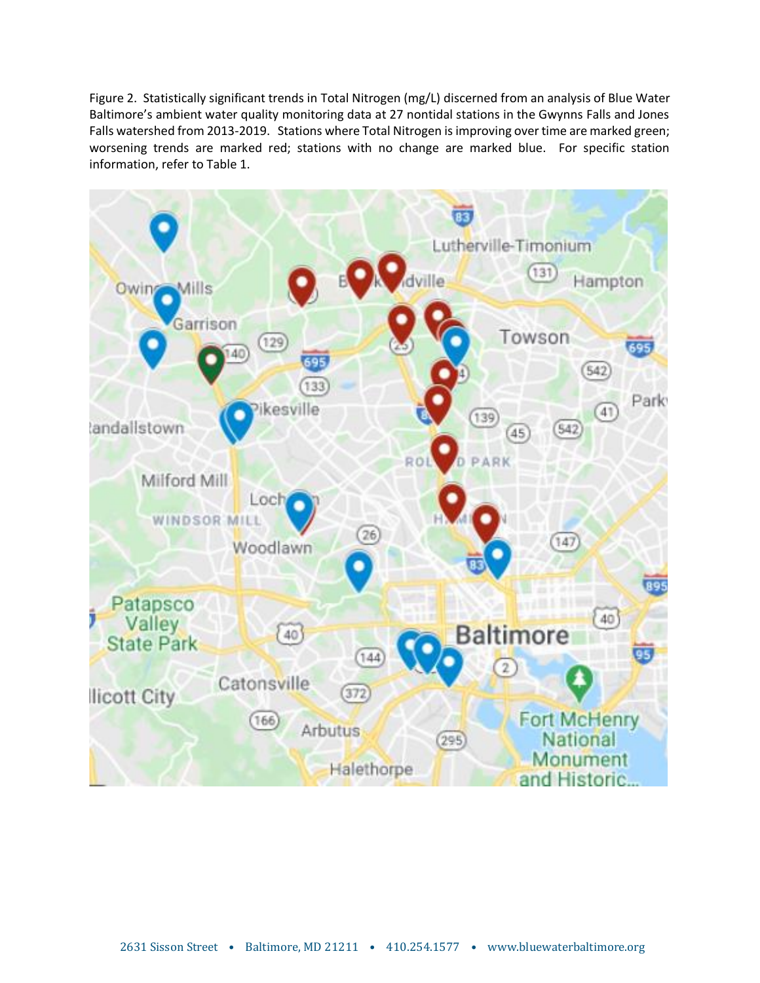Figure 2. Statistically significant trends in Total Nitrogen (mg/L) discerned from an analysis of Blue Water Baltimore's ambient water quality monitoring data at 27 nontidal stations in the Gwynns Falls and Jones Falls watershed from 2013-2019. Stations where Total Nitrogen is improving over time are marked green; worsening trends are marked red; stations with no change are marked blue. For specific station information, refer to Table 1.

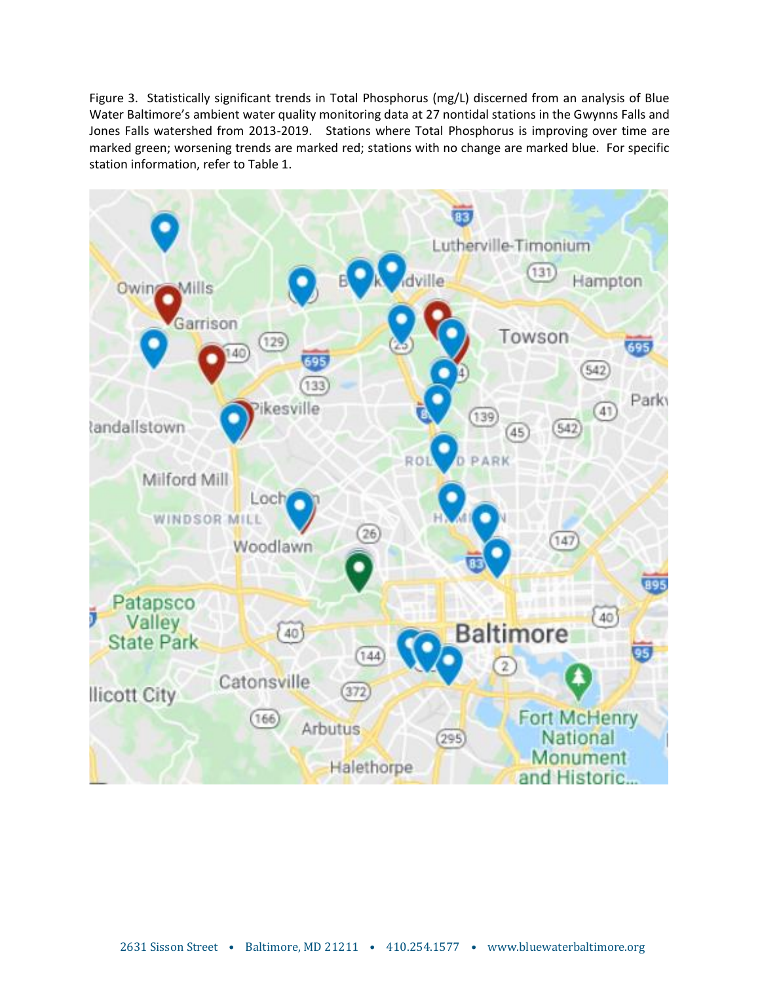Figure 3. Statistically significant trends in Total Phosphorus (mg/L) discerned from an analysis of Blue Water Baltimore's ambient water quality monitoring data at 27 nontidal stations in the Gwynns Falls and Jones Falls watershed from 2013-2019. Stations where Total Phosphorus is improving over time are marked green; worsening trends are marked red; stations with no change are marked blue. For specific station information, refer to Table 1.

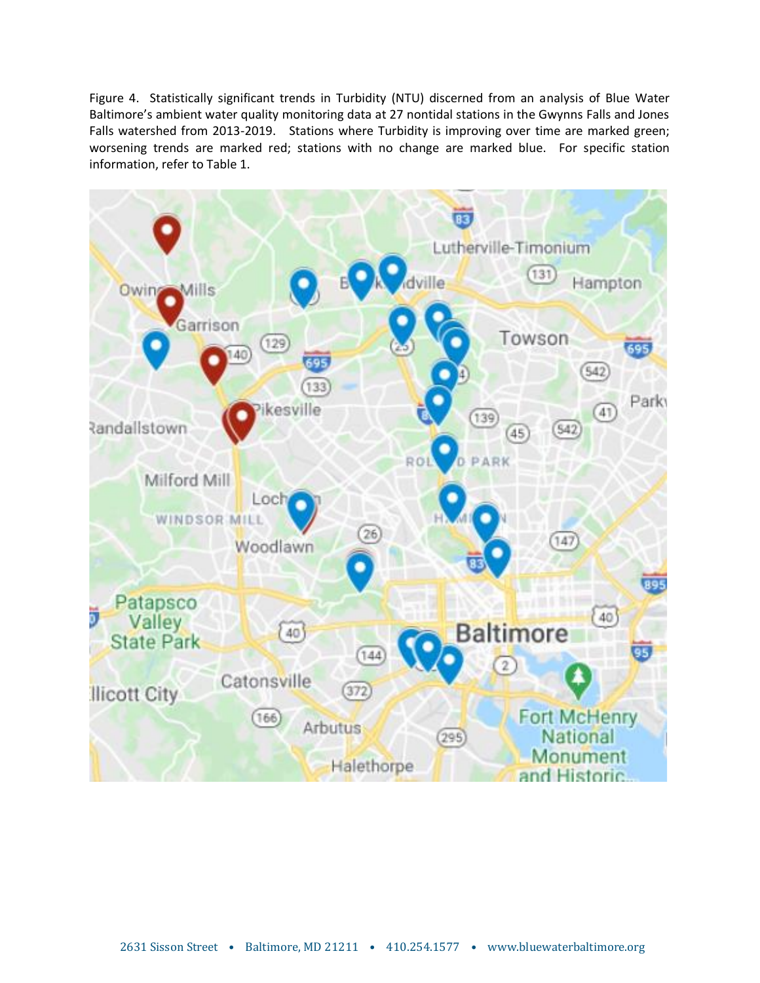Figure 4. Statistically significant trends in Turbidity (NTU) discerned from an analysis of Blue Water Baltimore's ambient water quality monitoring data at 27 nontidal stations in the Gwynns Falls and Jones Falls watershed from 2013-2019. Stations where Turbidity is improving over time are marked green; worsening trends are marked red; stations with no change are marked blue. For specific station information, refer to Table 1.

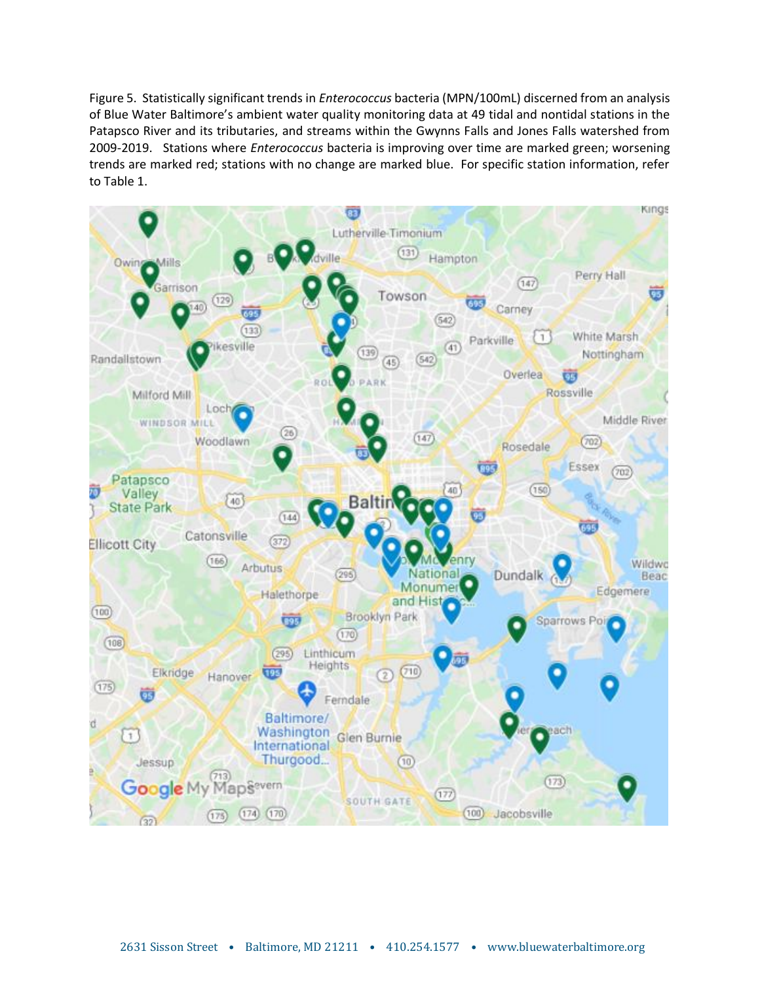Figure 5. Statistically significant trends in *Enterococcus* bacteria (MPN/100mL) discerned from an analysis of Blue Water Baltimore's ambient water quality monitoring data at 49 tidal and nontidal stations in the Patapsco River and its tributaries, and streams within the Gwynns Falls and Jones Falls watershed from 2009-2019. Stations where *Enterococcus* bacteria is improving over time are marked green; worsening trends are marked red; stations with no change are marked blue. For specific station information, refer to Table 1.